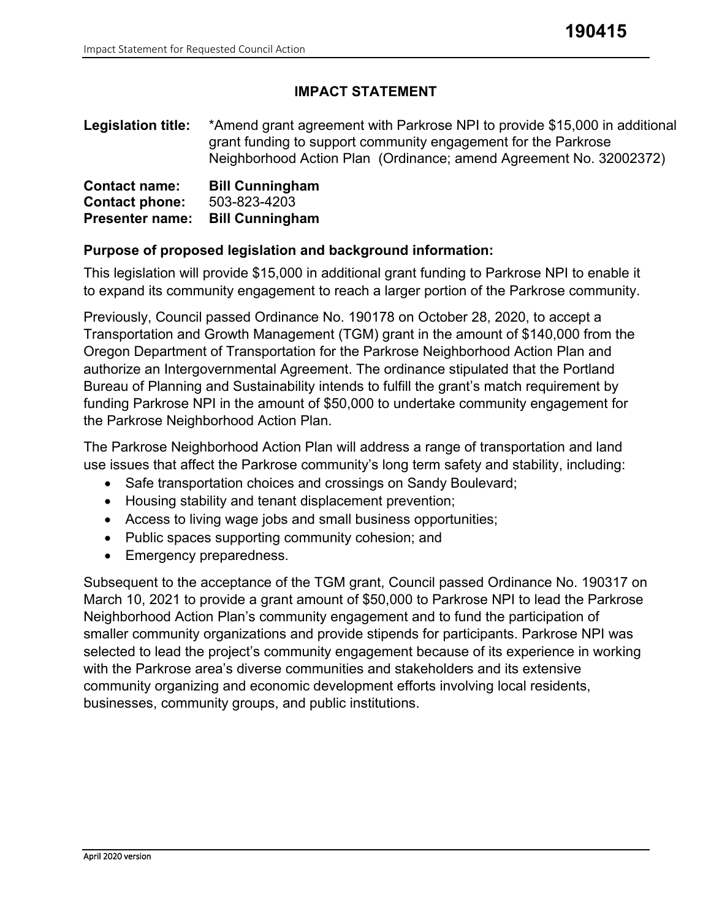# **IMPACT STATEMENT**

**Legislation title:** \*Amend grant agreement with Parkrose NPI to provide \$15,000 in additional grant funding to support community engagement for the Parkrose Neighborhood Action Plan (Ordinance; amend Agreement No. 32002372)

| <b>Contact name:</b>   | <b>Bill Cunningham</b> |
|------------------------|------------------------|
| <b>Contact phone:</b>  | 503-823-4203           |
| <b>Presenter name:</b> | <b>Bill Cunningham</b> |

#### **Purpose of proposed legislation and background information:**

This legislation will provide \$15,000 in additional grant funding to Parkrose NPI to enable it to expand its community engagement to reach a larger portion of the Parkrose community.

Previously, Council passed Ordinance No. 190178 on October 28, 2020, to accept a Transportation and Growth Management (TGM) grant in the amount of \$140,000 from the Oregon Department of Transportation for the Parkrose Neighborhood Action Plan and authorize an Intergovernmental Agreement. The ordinance stipulated that the Portland Bureau of Planning and Sustainability intends to fulfill the grant's match requirement by funding Parkrose NPI in the amount of \$50,000 to undertake community engagement for the Parkrose Neighborhood Action Plan.

The Parkrose Neighborhood Action Plan will address a range of transportation and land use issues that affect the Parkrose community's long term safety and stability, including:

- Safe transportation choices and crossings on Sandy Boulevard;
- Housing stability and tenant displacement prevention;
- Access to living wage jobs and small business opportunities;
- Public spaces supporting community cohesion; and
- Emergency preparedness.

Subsequent to the acceptance of the TGM grant, Council passed Ordinance No. 190317 on March 10, 2021 to provide a grant amount of \$50,000 to Parkrose NPI to lead the Parkrose Neighborhood Action Plan's community engagement and to fund the participation of smaller community organizations and provide stipends for participants. Parkrose NPI was selected to lead the project's community engagement because of its experience in working with the Parkrose area's diverse communities and stakeholders and its extensive community organizing and economic development efforts involving local residents, businesses, community groups, and public institutions.